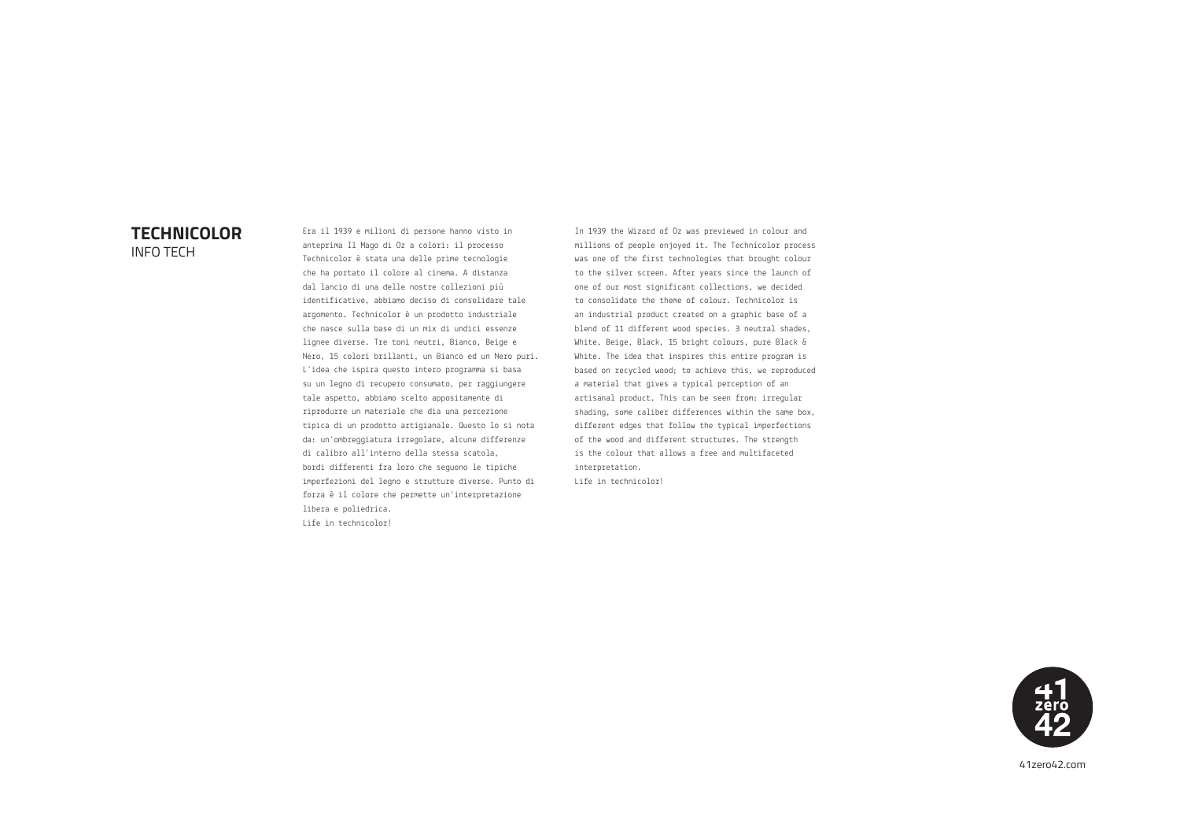# **TECHNICOLOR** INFO TECH

Era il 1939 e milioni di persone hanno visto in anteprima Il Mago di Oz a colori: il processo Technicolor è stata una delle prime tecnologie che ha portato il colore al cinema. A distanza dal lancio di una delle nostre collezioni più identificative, abbiamo deciso di consolidare tale argomento. Technicolor è un prodotto industriale che nasce sulla base di un mix di undici essenze lignee diverse. Tre toni neutri, Bianco, Beige e Nero, 15 colori brillanti, un Bianco ed un Nero puri. L'idea che ispira questo intero programma si basa su un legno di recupero consumato, per raggiungere tale aspetto, abbiamo scelto appositamente di riprodurre un materiale che dia una percezione tipica di un prodotto artigianale. Questo lo si nota da: un'ombreggiatura irregolare, alcune differenze di calibro all'interno della stessa scatola, bordi differenti fra loro che seguono le tipiche imperfezioni del legno e strutture diverse. Punto di forza è il colore che permette un'interpretazione libera e poliedrica. Life in technicolor!

In 1939 the Wizard of Oz was previewed in colour and millions of people enjoyed it. The Technicolor process was one of the first technologies that brought colour to the silver screen. After years since the launch of one of our most significant collections, we decided to consolidate the theme of colour. Technicolor is an industrial product created on a graphic base of a blend of 11 different wood species. 3 neutral shades, White, Beige, Black, 15 bright colours, pure Black & White. The idea that inspires this entire program is based on recycled wood; to achieve this, we reproduced a material that gives a typical perception of an artisanal product. This can be seen from: irregular shading, some caliber differences within the same box, different edges that follow the typical imperfections of the wood and different structures. The strength is the colour that allows a free and multifaceted interpretation. Life in technicolor!



41zero42.com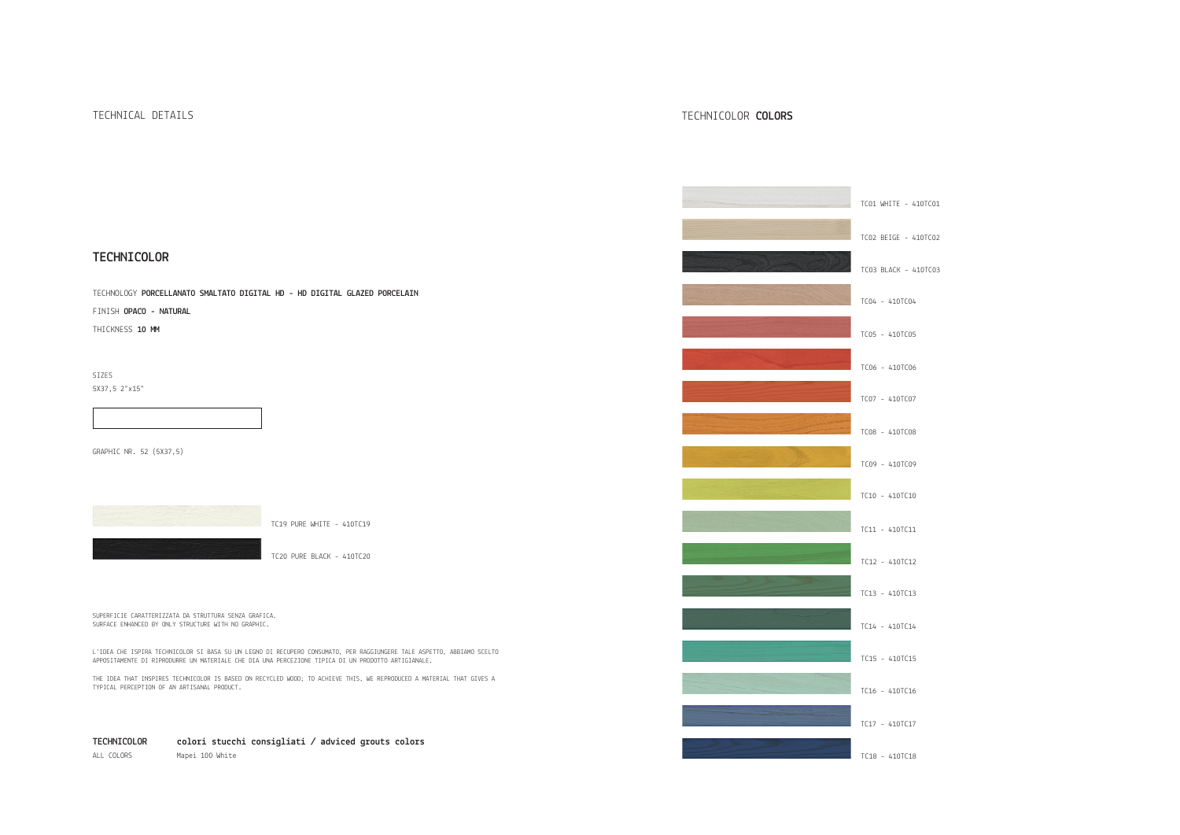#### TECHNICAL DETAILS TECHNICOLOR **COLORS**